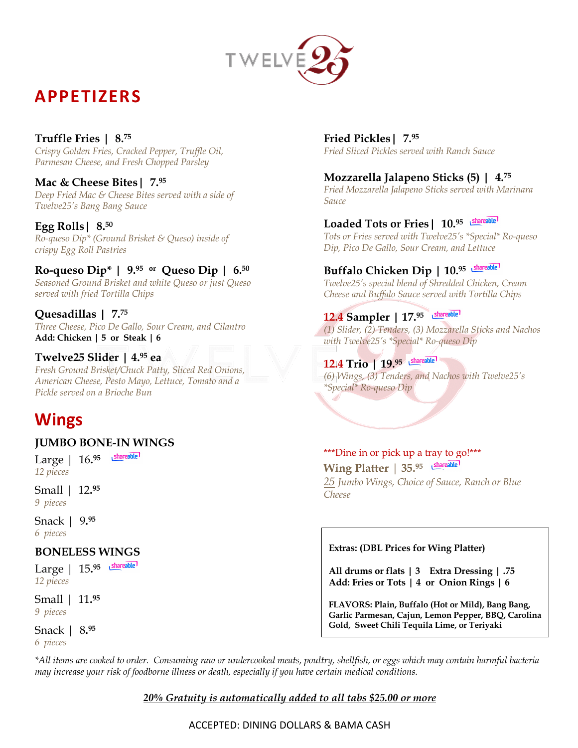

# **APPETIZERS**

### **Truffle Fries | 8.75**

*Crispy Golden Fries, Cracked Pepper, Truffle Oil, Parmesan Cheese, and Fresh Chopped Parsley*

### **Mac & Cheese Bites| 7. 95**

*Deep Fried Mac & Cheese Bites served with a side of Twelve25's Bang Bang Sauce*

### **Egg Rolls| 8. 50**

*Ro-queso Dip\* (Ground Brisket & Queso) inside of crispy Egg Roll Pastries*

### **Ro-queso Dip\* | 9. 95 or Queso Dip | 6. 50**

*Seasoned Ground Brisket and white Queso or just Queso served with fried Tortilla Chips* 

### **Quesadillas | 7.75**

*Three Cheese, Pico De Gallo, Sour Cream, and Cilantro* **Add: Chicken | 5 or Steak | 6**

### **Twelve25 Slider | 4.95 ea**

*Fresh Ground Brisket/Chuck Patty, Sliced Red Onions, American Cheese, Pesto Mayo, Lettuce, Tomato and a Pickle served on a Brioche Bun*

# **Wings**

### **JUMBO BONE-IN WINGS**

Large | 16**. 95**  *12 pieces*

Small | 12**. 95**  *9 pieces*

Snack | 9**. 95** *6 pieces*

### **BONELESS WINGS**

Large | 15**. 95**  *12 pieces*

Small | 11**. 95**  *9 pieces*

## Snack | 8**. 95**

*6 pieces*

**Fried Pickles| 7. 95** *Fried Sliced Pickles served with Ranch Sauce*

### **Mozzarella Jalapeno Sticks (5) | 4. 75**

*Fried Mozzarella Jalapeno Sticks served with Marinara Sauce*

### **Loaded Tots or Fries| 10. 95**

*Tots or Fries served with Twelve25's \*Special\* Ro-queso Dip, Pico De Gallo, Sour Cream, and Lettuce*

### **Buffalo Chicken Dip | 10. 95**

*Twelve25's special blend of Shredded Chicken, Cream Cheese and Buffalo Sauce served with Tortilla Chips*

### **12.4 Sampler | 17.95**

*(1) Slider, (2) Tenders, (3) Mozzarella Sticks and Nachos with Twelve25's \*Special\* Ro-queso Dip*

### **12.4 Trio | 19.95**

*(6) Wings, (3) Tenders, and Nachos with Twelve25's \*Special\* Ro-queso Dip*

#### \*\*\*Dine in or pick up a tray to go!\*\*\* **Wing Platter** | **35. 95**  *25 Jumbo Wings, Choice of Sauce, Ranch or Blue Cheese*

#### **Extras: (DBL Prices for Wing Platter)**

**All drums or flats | 3 Extra Dressing | .75 Add: Fries or Tots | 4 or Onion Rings | 6**

**FLAVORS: Plain, Buffalo (Hot or Mild), Bang Bang, Garlic Parmesan, Cajun, Lemon Pepper, BBQ, Carolina Gold, Sweet Chili Tequila Lime, or Teriyaki**

*\*All items are cooked to order. Consuming raw or undercooked meats, poultry, shellfish, or eggs which may contain harmful bacteria may increase your risk of foodborne illness or death, especially if you have certain medical conditions.*

*20% Gratuity is automatically added to all tabs \$25.00 or more*